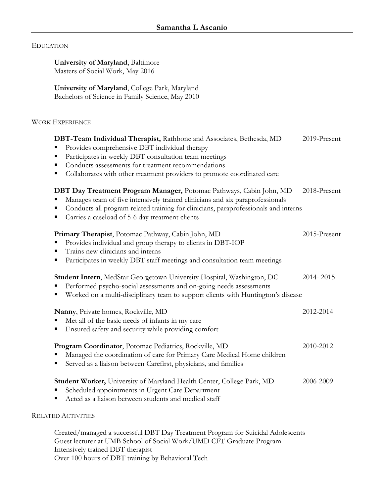## EDUCATION

**University of Maryland**, Baltimore Masters of Social Work, May 2016

**University of Maryland**, College Park, Maryland Bachelors of Science in Family Science, May 2010

## WORK EXPERIENCE

| DBT-Team Individual Therapist, Rathbone and Associates, Bethesda, MD<br>Provides comprehensive DBT individual therapy<br>Participates in weekly DBT consultation team meetings<br>Ξ                                                                                                                      | 2019-Present |
|----------------------------------------------------------------------------------------------------------------------------------------------------------------------------------------------------------------------------------------------------------------------------------------------------------|--------------|
| Conducts assessments for treatment recommendations<br>Ξ<br>Collaborates with other treatment providers to promote coordinated care<br>ш                                                                                                                                                                  |              |
| DBT Day Treatment Program Manager, Potomac Pathways, Cabin John, MD<br>Manages team of five intensively trained clinicians and six paraprofessionals<br>Conducts all program related training for clinicians, paraprofessionals and interns<br>Ξ<br>Carries a caseload of 5-6 day treatment clients<br>п | 2018-Present |
| Primary Therapist, Potomac Pathway, Cabin John, MD<br>Provides individual and group therapy to clients in DBT-IOP<br>п<br>Trains new clinicians and interns<br>Ξ<br>Participates in weekly DBT staff meetings and consultation team meetings<br>п                                                        | 2015-Present |
| Student Intern, MedStar Georgetown University Hospital, Washington, DC<br>Performed psycho-social assessments and on-going needs assessments<br>Worked on a multi-disciplinary team to support clients with Huntington's disease<br>п                                                                    | 2014-2015    |
| Nanny, Private homes, Rockville, MD<br>Met all of the basic needs of infants in my care<br>Ensured safety and security while providing comfort<br>п                                                                                                                                                      | 2012-2014    |
| Program Coordinator, Potomac Pediatrics, Rockville, MD<br>Managed the coordination of care for Primary Care Medical Home children<br>Served as a liaison between Carefirst, physicians, and families<br>п                                                                                                | 2010-2012    |
| Student Worker, University of Maryland Health Center, College Park, MD<br>Scheduled appointments in Urgent Care Department<br>Acted as a liaison between students and medical staff                                                                                                                      | 2006-2009    |
| <b>RELATED ACTIVITIES</b>                                                                                                                                                                                                                                                                                |              |
| Created/managed a successful DBT Day Treatment Program for Suicidal Adolescents                                                                                                                                                                                                                          |              |

Guest lecturer at UMB School of Social Work/UMD CFT Graduate Program Intensively trained DBT therapist Over 100 hours of DBT training by Behavioral Tech